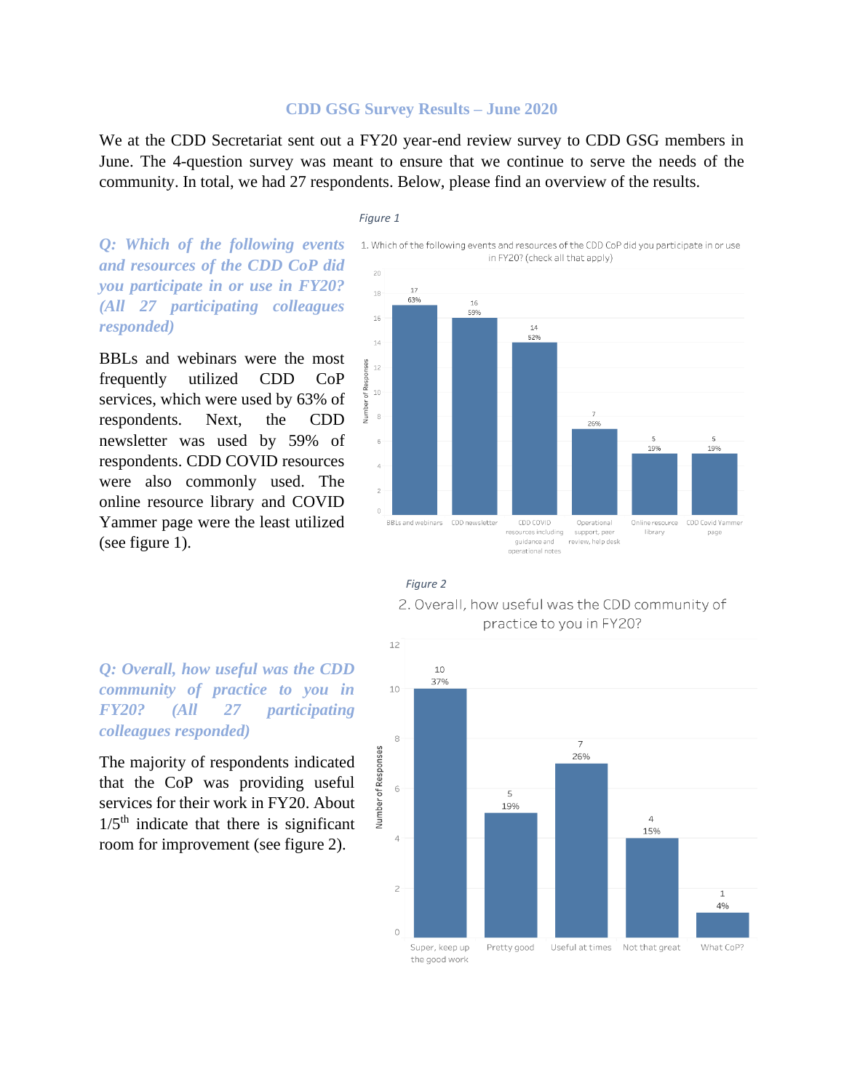#### **CDD GSG Survey Results – June 2020**

We at the CDD Secretariat sent out a FY20 year-end review survey to CDD GSG members in June. The 4-question survey was meant to ensure that we continue to serve the needs of the community. In total, we had 27 respondents. Below, please find an overview of the results.

#### *Figure 1*

Number of Responses

*Q: Which of the following events and resources of the CDD CoP did you participate in or use in FY20? (All 27 participating colleagues responded)*

BBLs and webinars were the most frequently utilized CDD CoP services, which were used by 63% of respondents. Next, the CDD newsletter was used by 59% of respondents. CDD COVID resources were also commonly used. The online resource library and COVID Yammer page were the least utilized (see figure 1).





*Q: Overall, how useful was the CDD community of practice to you in FY20? (All 27 participating colleagues responded)*

The majority of respondents indicated that the CoP was providing useful services for their work in FY20. About  $1/5<sup>th</sup>$  indicate that there is significant room for improvement (see figure 2).